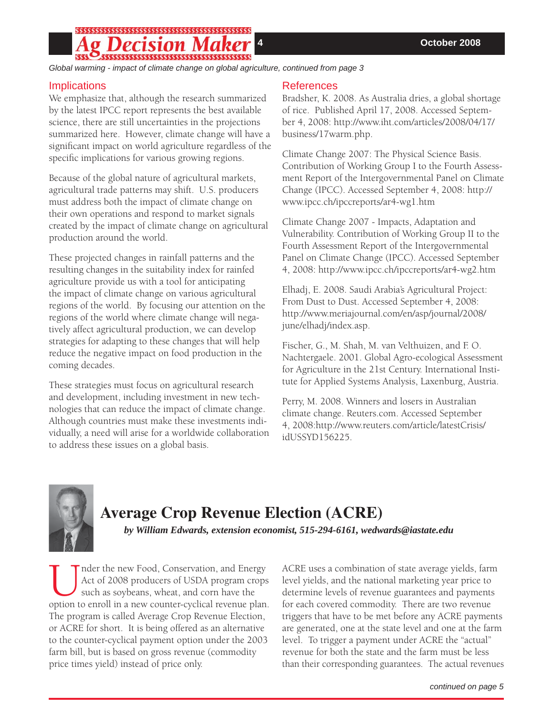## \$\$\$\$\$\$\$\$\$\$\$\$\$\$\$\$\$\$\$\$\$\$\$\$\$\$\$\$\$\$\$\$\$\$\$

*Global warming - impact of climate change on global agriculture, continued from page 3*

### **Implications**

We emphasize that, although the research summarized by the latest IPCC report represents the best available science, there are still uncertainties in the projections summarized here. However, climate change will have a significant impact on world agriculture regardless of the specific implications for various growing regions.

Because of the global nature of agricultural markets, agricultural trade patterns may shift. U.S. producers must address both the impact of climate change on their own operations and respond to market signals created by the impact of climate change on agricultural production around the world.

These projected changes in rainfall patterns and the resulting changes in the suitability index for rainfed agriculture provide us with a tool for anticipating the impact of climate change on various agricultural regions of the world. By focusing our attention on the regions of the world where climate change will negatively affect agricultural production, we can develop strategies for adapting to these changes that will help reduce the negative impact on food production in the coming decades.

These strategies must focus on agricultural research and development, including investment in new technologies that can reduce the impact of climate change. Although countries must make these investments individually, a need will arise for a worldwide collaboration to address these issues on a global basis.

### References

[Bradsher, K. 2008. As Australia dries, a global shortage](http://www.iht.com/articles/2008/04/17/business/17warm.php)  of rice. Published April 17, 2008. Accessed September 4, 2008: http://www.iht.com/articles/2008/04/17/ business/17warm.php.

Climate Change 2007: The Physical Science Basis. Contribution of Working Group I to the Fourth Assess[ment Report of the Intergovernmental Panel on Climate](http://www.ipcc.ch/ipccreports/ar4-wg1.htm)  Change (IPCC). Accessed September 4, 2008: http:// www.ipcc.ch/ipccreports/ar4-wg1.htm

Climate Change 2007 - Impacts, Adaptation and [Vulnerability. Contribution of Working Group II to the](http://www.ipcc.ch/ipccreports/ar4-wg2.htm)  Fourth Assessment Report of the Intergovernmental Panel on Climate Change (IPCC). Accessed September 4, 2008: http://www.ipcc.ch/ipccreports/ar4-wg2.htm

Elhadj, E. 2008. Saudi Arabia's Agricultural Project: From Dust to Dust. Accessed September 4, 2008: [http://www.meriajournal.com/en/asp/journal/2008/](http://www.meriajournal.com/en/asp/journal/2008/june/elhadj/index.asp) june/elhadj/index.asp.

Fischer, G., M. Shah, M. van Velthuizen, and F. O. Nachtergaele. 2001. Global Agro-ecological Assessment for Agriculture in the 21st Century. International Institute for Applied Systems Analysis, Laxenburg, Austria.

Perry, M. 2008. Winners and losers in Australian climate change. Reuters.com. Accessed September [4, 2008:http://www.reuters.com/article/latestCrisis/](http://www.reuters.com/article/latestCrisis/idUSSYD156225) idUSSYD156225.



# **Average Crop Revenue Election (ACRE)**

*by William Edwards, extension economist, 515-294-6161, wedwards@iastate.edu*

I nder the new Food, Conservation, and Energy<br>Act of 2008 producers of USDA program crops<br>such as soybeans, wheat, and corn have the<br>option to enroll in a new counter-cyclical revenue plan. Act of 2008 producers of USDA program crops such as soybeans, wheat, and corn have the The program is called Average Crop Revenue Election, or ACRE for short. It is being offered as an alternative to the counter-cyclical payment option under the 2003 farm bill, but is based on gross revenue (commodity price times yield) instead of price only.

ACRE uses a combination of state average yields, farm level yields, and the national marketing year price to determine levels of revenue guarantees and payments for each covered commodity. There are two revenue triggers that have to be met before any ACRE payments are generated, one at the state level and one at the farm level. To trigger a payment under ACRE the "actual" revenue for both the state and the farm must be less than their corresponding guarantees. The actual revenues